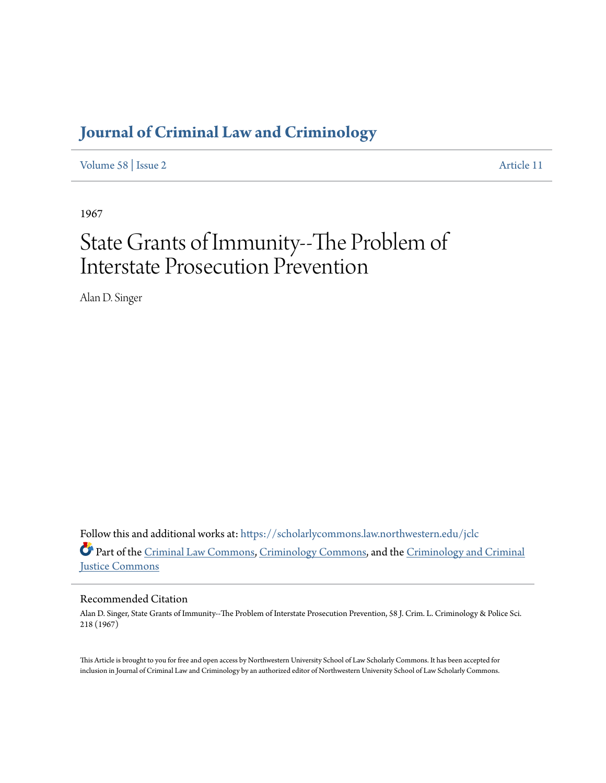# **[Journal of Criminal Law and Criminology](https://scholarlycommons.law.northwestern.edu/jclc?utm_source=scholarlycommons.law.northwestern.edu%2Fjclc%2Fvol58%2Fiss2%2F11&utm_medium=PDF&utm_campaign=PDFCoverPages)**

[Volume 58](https://scholarlycommons.law.northwestern.edu/jclc/vol58?utm_source=scholarlycommons.law.northwestern.edu%2Fjclc%2Fvol58%2Fiss2%2F11&utm_medium=PDF&utm_campaign=PDFCoverPages) | [Issue 2](https://scholarlycommons.law.northwestern.edu/jclc/vol58/iss2?utm_source=scholarlycommons.law.northwestern.edu%2Fjclc%2Fvol58%2Fiss2%2F11&utm_medium=PDF&utm_campaign=PDFCoverPages) [Article 11](https://scholarlycommons.law.northwestern.edu/jclc/vol58/iss2/11?utm_source=scholarlycommons.law.northwestern.edu%2Fjclc%2Fvol58%2Fiss2%2F11&utm_medium=PDF&utm_campaign=PDFCoverPages)

1967

# State Grants of Immunity--The Problem of Interstate Prosecution Prevention

Alan D. Singer

Follow this and additional works at: [https://scholarlycommons.law.northwestern.edu/jclc](https://scholarlycommons.law.northwestern.edu/jclc?utm_source=scholarlycommons.law.northwestern.edu%2Fjclc%2Fvol58%2Fiss2%2F11&utm_medium=PDF&utm_campaign=PDFCoverPages) Part of the [Criminal Law Commons](http://network.bepress.com/hgg/discipline/912?utm_source=scholarlycommons.law.northwestern.edu%2Fjclc%2Fvol58%2Fiss2%2F11&utm_medium=PDF&utm_campaign=PDFCoverPages), [Criminology Commons](http://network.bepress.com/hgg/discipline/417?utm_source=scholarlycommons.law.northwestern.edu%2Fjclc%2Fvol58%2Fiss2%2F11&utm_medium=PDF&utm_campaign=PDFCoverPages), and the [Criminology and Criminal](http://network.bepress.com/hgg/discipline/367?utm_source=scholarlycommons.law.northwestern.edu%2Fjclc%2Fvol58%2Fiss2%2F11&utm_medium=PDF&utm_campaign=PDFCoverPages) [Justice Commons](http://network.bepress.com/hgg/discipline/367?utm_source=scholarlycommons.law.northwestern.edu%2Fjclc%2Fvol58%2Fiss2%2F11&utm_medium=PDF&utm_campaign=PDFCoverPages)

## Recommended Citation

Alan D. Singer, State Grants of Immunity--The Problem of Interstate Prosecution Prevention, 58 J. Crim. L. Criminology & Police Sci. 218 (1967)

This Article is brought to you for free and open access by Northwestern University School of Law Scholarly Commons. It has been accepted for inclusion in Journal of Criminal Law and Criminology by an authorized editor of Northwestern University School of Law Scholarly Commons.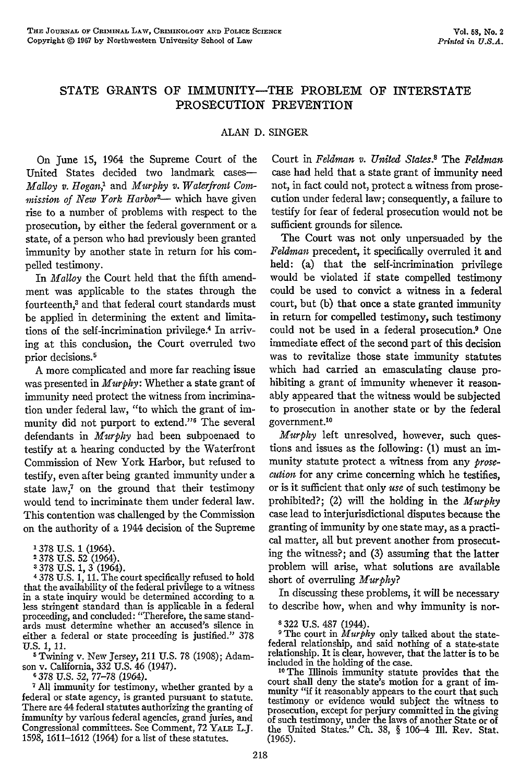### **STATE GRANTS** OF IMMUNITY-THE PROBLEM OF INTERSTATE PROSECUTION PREVENTION

#### ALAN D. SINGER

On June 15, 1964 the Supreme Court of the United States decided two landmark cases-*Malloy v. Hogan,'* and *Murphy v. Waterfront Com*mission of New York Harbor<sup>2</sup>— which have given rise to a number of problems with respect to the prosecution, by either the federal government or a state, of a person who had previously been granted immunity by another state in return for his compelled testimony.

In *Malloy* the Court held that the fifth amendment was applicable to the states through the fourteenth,3 and that federal court standards must be applied in determining the extent and limitations of the self-incrimination privilege.<sup>4</sup> In arriving at this conclusion, the Court overruled two prior decisions.<sup>5</sup>

A more complicated and more far reaching issue was presented in *Murphy:* Whether a state grant of immunity need protect the witness from incrimination under federal law, "to which the grant of immunity did not purport to extend."<sup>6</sup> The several defendants in *Murphy* had been subpoenaed to testify at a hearing conducted by the Waterfront Commission of New York Harbor, but refused to testify, even after being granted immunity under a state law,<sup>7</sup> on the ground that their testimony would tend to incriminate them under federal law. This contention was challenged by the Commission on the authority of a 1944 decision of the Supreme

**1 378 U.S. 1 (1964).**<br>2 378 U.S. 52 (1964).

**3 378** U.S. 1, 3 (1964).

**4** 378 U.S. 1, 11. The court specifically refused to hold that the availability of the federal privilege to a witness<br>in a state inquiry would be determined according to a in a state inquiry would be determined according to a less stringent standard than is applicable in a federal proceeding, and concluded: "Therefore, the same standards must determine whether an accused's silence in either a federal or state proceeding is justified." 378 U.S. 1, 11.

**5** Twining v. New Jersey, 211 U.S. 78 (1908); Adam son v. California, 332 U.S. 46 (1947). **6 378** U.S. *52,* 77-78 (1964).

**<sup>1</sup>**All immunity for testimony, whether granted by a federal or state agency, is granted pursuant to statute. There are 44 federal statutes authorizing the granting of immunity by various federal agencies, grand juries, and Congressional committees. See Comment, 72 YALE L.J. 1598, 1611-1612 (1964) for a list of these statutes.

Court in *Feldman v. United Staes* The *Feldman* case had held that a state grant of immunity need not, in fact could not, protect a witness from prosecution under federal law; consequently, a failure to testify for fear of federal prosecution would not be sufficient grounds for silence.

The Court was not only unpersuaded by the *Feldman* precedent, it specifically overruled it and held: (a) that the self-incrimination privilege would be violated if state compelled testimony could be used to convict a witness in a federal court, but (b) that once a state granted immunity in return for compelled testimony, such testimony could not be used in a federal prosecution.9 One immediate effect of the second part of this decision was to revitalize those state immunity statutes which had carried an emasculating clause prohibiting a grant of immunity whenever it reasonably appeared that the witness would be subjected to prosecution in another state or by the federal government.<sup>10</sup>

*Murphy* left unresolved, however, such questions and issues as the following: (1) must an immunity statute protect a witness from any *prosecution* for any crime concerning which he testifies, or is it sufficient that only *use* of such testimony be prohibited?; (2) will the holding in the *Murphy* case lead to interjurisdictional disputes because the granting of immunity by one state may, as a practical matter, all but prevent another from prosecuting the witness?; and (3) assuming that the latter problem will arise, what solutions are available short of overruling *Murphy?*

In discussing these problems, it will be necessary to describe how, when and why immunity is nor-

**<sup>8</sup>**322 U.S. 487 (1944).

**9** The court in *Murphy* only talked about the statefederal relationship, and said nothing of a state-state relationship. It is clear, however, that the latter is to be included in the holding of the case. **<sup>10</sup>**The Illinois immunity statute provides that the

court shall deny the state's motion for a grant of immunity "if it reasonably appears to the court that such testimony or evidence would subject the witness to prosecution, except for perjury committed in the giving of such testimony, under the laws of another State or of the United States." Ch. 38, § 106-4 fI1. Rev. Stat. **(1965).**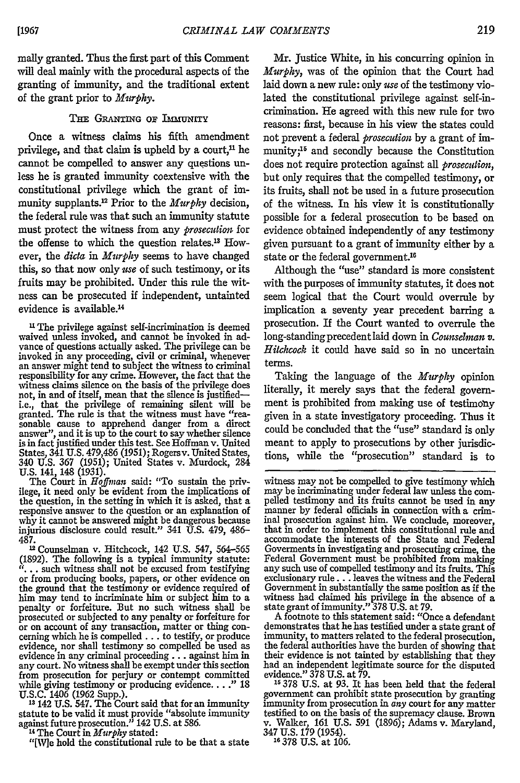mally granted. Thus the first part of this Comment will deal mainly with the procedural aspects of the granting of immunity, and the traditional extent of the grant prior to *Murphy.*

#### THE GRANTING OF IMMUNITY

Once a witness claims his fifth amendment privilege, and that claim is upheld by a court, $<sup>n</sup>$  he</sup> cannot be compelled to answer any questions unless he is granted immunity coextensive with the constitutional privilege which the grant of immunity supplants.<sup>12</sup> Prior to the *Murphy* decision, the federal rule was that such an immunity statute must protect the witness from any *prosecution* for the offense to which the question relates.<sup>13</sup> However, the *dicta in Murphy* seems to have changed this, so that now only *use* of such testimony, or its fruits may be prohibited. Under this rule the witness can be prosecuted if independent, untainted evidence is available.<sup>14</sup>

**<sup>U</sup>**The privilege against self-incrimination is deemed waived unless invoked, and cannot be invoked in ad- vance of questions actually asked. The privilege can be invoked in any proceeding, civil or criminal, whenever an answer might tend to subject the witness to criminal responsibility for any crime. However, the fact that the witness claims silence on the basis of the privilege does not, in and of itself, mean that the silence is justifiedi.e., that the privilege of remaining silent will be granted. The rule is that the witness must have "reasonable cause to apprehend danger from a direct<br>answer", and it is up to the court to say whether silence<br>is in fact justified under this test. See Hoffman v. United<br>States, 341 U.S. 479,486 (1951); Rogers v. United States U.S. 141, 148 (1931)

The Court in *Hoffman* said: "To sustain the privilege, it need only be evident from the implications of the question, in the setting in which it is asked, that a responsive answer to the question or an explanation of why it cannot be answered might be dangerous because injurious disclosure could result." 341 U.S. 479, 486-

487.1 Counselman v. Hitchcock, 142 U.S. 547, 564-565 (1892). The following is a typical immunity statute: "... such witness shall not be excused from testifying or from producing books, papers, or other evidence on the ground that the testimony or evidence required of him may tend to incriminate him or subject him to a penalty or forfeiture. But no such witness shall be prosecuted or subjected to any penalty or forfeiture for or on account of any transaction, matter or thing conceming which he is compelled **...** to testify, or produce evidence, nor shall testimony so compelled be used as evidence in any criminal proceeding... against him in any court. No witness shall be exempt under this section from prosecution for perjury or contempt committed while giving testimony or producing evidence.... **."** 18 U.S.C. 1406 (1962 Supp.). **<sup>13</sup>**142 U.S. 547. The Court said that for an immunity

statute to be valid it must provide "absolute immunity against future prosecution." 142 U.S. at 586.

14 The Court in *Murphy* stated:

"[Wle hold the constitutional rule to be that a state

Mr. Justice White, in his concurring opinion in *Murphy,* was of the opinion that the Court had laid down a new rule: only *use* of the testimony violated the constitutional privilege against self-incrimination. He agreed with this new rule for two reasons: first, because in his view the states could not prevent a federal *prosecution* by a grant of immunity;<sup>15</sup> and secondly because the Constitution does not require protection against all *prosecution,* but only requires that the compelled testimony, or its fruits, shall not be used in a future prosecution of the witness. In his view it is constitutionally possible for a federal prosecution to be based on evidence obtained independently of any testimony given pursuant to a grant of immunity either by a state or the federal government.<sup>16</sup>

Although the "use" standard is more consistent with the purposes of immunity statutes, it does not seem logical that the Court would overrule by implication a seventy year precedent barring a prosecution. If the Court wanted to overrule the long-standing precedent laid down in *Counselman v*. *Hitchcock* it could have said so in no uncertain terms.

Taking the language of the *Murphy* opinion literally, it merely says that the federal government is prohibited from making use of testimohy given in a state investigatory proceeding. Thus it could be concluded that the "use" standard is only meant to apply to prosecutions by other jurisdictions, while the "prosecution" standard is to

witness may not be compelled to give testimony which may be incriminating under federal law unless the com-<br>pelled testimony and its fruits cannot be used in any<br>manner by federal officials in connection with a criminal prosecution against him. We conclude, moreover, that in order to implement this constitutional rule and accommodate the interests of the State and Federal Goverments in investigating and prosecuting crime, the Federal Government must be prohibited from making any such use of compelled testimony and its fruits. This exclusionary **rule...** leaves the witness and the Federal Government in substantially the same position as if the witness had claimed his privilege in the absence of a state grant of immunity." 378 U.S. at 79.

A footnote to this statement said: "Once a defendant demonstrates that he has testified under a state grant of immunity, to matters related to the federal prosecution, the federal authorities have the burden of showing that their evidence is not tainted by establishing that they had an independent legitimate source for the disputed evidence." 378 U.S. at 79.

**15378** U.S. at 93. It has been held that the federal government can prohibit state prosecution by granting immunity from prosecution in any court for any matter testified to on the basis of the supremacy clause. Brown v. Walker, 161 U.S. 591 (1896); Adams v. Maryland, <sup>347</sup>**U.S. 179** (1954). **<sup>16</sup><sup>378</sup>**U.S. at 106.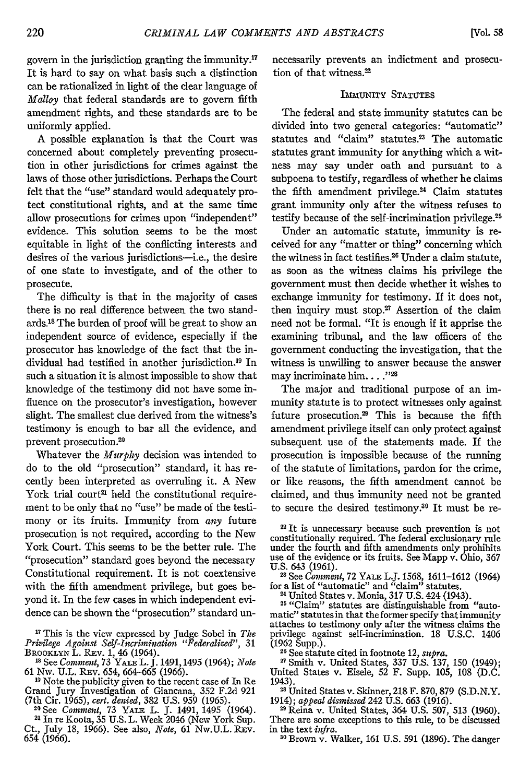govern in the jurisdiction granting the immunity.<sup>17</sup> It is hard to say on what basis such a distinction can be rationalized in light of the clear language of *Malloy* that federal standards are to govern fifth amendment rights, and these standards are to be uniformly applied.

A possible explanation is that the Court was concerned about completely preventing prosecution in other jurisdictions for crimes against the laws of those other jurisdictions. Perhaps the Court felt that the "use" standard would adequately protect constitutional rights, and at the same time allow prosecutions for crimes upon "independent" evidence. This solution seems to be the most equitable in light of the conflicting interests and desires of the various jurisdictions-i.e., the desire of one state to investigate, and of the other to prosecute.

The difficulty is that in the majority of cases there is no real difference between the two standards.is The burden of proof will be great to show an independent source of evidence, especially if the prosecutor has knowledge of the fact that the individual had testified in another jurisdiction.<sup>19</sup> In such a situation it is almost impossible to show that knowledge of the testimony did not have some influence on the prosecutor's investigation, however slight. The smallest clue derived from the witness's testimony is enough to bar all the evidence, and prevent prosecution.<sup>20</sup>

'Whatever the *Murphy* decision was intended to do to the old "prosecution" standard, it has recently been interpreted as overruling it. A New York trial court<sup>21</sup> held the constitutional requirement to be only that no "use" be made of the testimony or its fruits. Immunity from *any* future prosecution is not required, according to the New York Court. This seems to be the better rule. The "prosecution" standard goes beyond the necessary Constitutional requirement. It is not coextensive with the fifth amendment privilege, but goes beyond it. In the few cases in which independent evidence can be shown the "prosecution" standard un-

**1** This is the view expressed by Judge Sobel in The *Privilege Against Self-Incrimination "Federalized",* 31 **BROOKLYN L. REV. 1, 46 (1964).** 

**10** See *Comment,* 73 **YALE** L. J. 1491,1495 (1964); *Note* 61 Nw. U.L. REv. 654, **664-665** (1966).

<sup>19</sup> Note the publicity given to the recent case of In Re<br>Grand Jury Investigation of Giancana, 352 F.2d 921 (7th Cir. 1965), cert. denied, 382 U.S. 959 (1965).

<sup>20</sup> See *Comment*, 73 YALE L. J. 1491, 1495 (1964).<br><sup>21</sup> In re Koota, 35 U.S. L. Week 2046 (New York Sup.

Ct., July 18, 1966). See also, *Note*, 61 Nw.U.L. REV. 654 (1966).

necessarily prevents an indictment and prosecution of that witness.<sup>22</sup>

#### IMMUNITY STATUTES

The federal and state immunity statutes can be divided into two general categories: "automatic" statutes and "claim" statutes.<sup>23</sup> The automatic statutes grant immunity for anything which a witness may say under oath and pursuant to a subpoena to testify, regardless of whether he claims the fifth amendment privilege. $24$  Claim statutes grant immunity only after the witness refuses to testify because of the self-incrimination privilege.<sup>25</sup>

Under an automatic statute, immunity is received for any "matter or thing" concerning which the witness in fact testifies.26 Under a claim statute, as soon as the witness claims his privilege the government must then decide whether it wishes to exchange immunity for testimony. If it does not, then inquiry must stop. $27$  Assertion of the claim need not be formal. "It is enough if it apprise the examining tribunal, and the law officers of the government conducting the investigation, that the witness is unwilling to answer because the answer may incriminate him. . . . "28

The major and traditional purpose of an immunity statute is to protect witnesses only against future prosecution.29 This is because the fifth amendment privilege itself can only protect against subsequent use of the statements made. If the prosecution is impossible because of the running of the statute of limitations, pardon for the crime, or like reasons, the fifth amendment cannot be claimed, and thus immunity need not be granted to secure the desired testimony.<sup>30</sup> It must be re-

<sup>22</sup> It is unnecessary because such prevention is not constitutionally required. The federal exclusionary rule under the fourth and fifth amendments only prohibits use of the evidence or its fruits. See Mapp v. Ohio, 367 U.S. 643 (1961).

<sup>23</sup> See *Comment*, 72 YALE L.J. 1568, 1611–1612 (1964)<br>for a list of "automatic" and "claim" statutes.<br><sup>24</sup> United States v. Monia, 317 U.S. 424 (1943).

<sup>24</sup> United States v. Monia, 317 U.S. 424 (1943).<br><sup>25</sup> "Claim" statutes are distinguishable from "automatic" statutes in that the former specify that immunity attaches to testimony only after the witness claims the privilege against self-incrimination. 18 U.S.C. 1406 (1962 Supp.).

**26** See statute cited in footnote 12, *supra.* "Smith v. United States, **337 U.S. 137,** 150 (1949);

United States v. Eisele, 52 F. Supp. 105, 108 (D.C. 1943).

<sup>28</sup> United States v. Skinner, 218 F. 870, 879 (S.D.N.Y. 1914); *appeal disnissed* 242 **U.S.** 663 (1916).

2" Reina v. United States, 364 U.S. 507, 513 (1960). There are some exceptions to this rule, to be discussed

in the text *infra.* **<sup>0</sup>**Brown v. Walker, **161** U.S. 591 (1896). The danger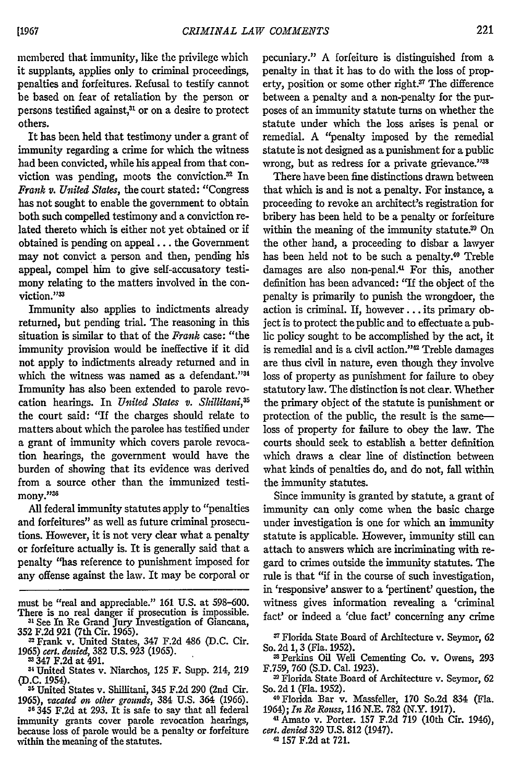membered that immunity, like the privilege which it supplants, applies only to criminal proceedings, penalties and forfeitures. Refusal to testify cannot be based on fear of retaliation **by** the person or persons testified against,<sup>31</sup> or on a desire to protect others.

It has been held that testimony under a grant of immunity regarding a crime for which the witness had been convicted, while his appeal from that conviction was pending, moots the conviction. $32$  In *Frank* v. *United States,* the court stated: "Congress has not sought to enable the government to obtain both such compelled testimony and a conviction related thereto which is either not yet obtained or if obtained is pending on appeal... the Government may not convict a person and then, pending his appeal, compel him to give self-accusatory testimony relating to the matters involved in the conviction."<sup>33</sup>

Immunity also applies to indictments already returned, but pending trial. The reasoning in this situation is similar to that of the *Frank* case: "the immunity provision would be ineffective if it did not apply to indictments already returned and in which the witness was named as a defendant."34 Immunity has also been extended to parole revocation hearings. In *United States v. Shillitani,5* the court said: "If the charges should relate to matters about which the parolee has testified under a grant of immunity which covers parole revocation hearings, the government would have the burden of showing that its evidence was derived from a source other than the immunized testimony."36

All federal immunity statutes apply to "penalties and forfeitures" as well as future criminal prosecutions. However, it is not very clear what a penalty or forfeiture actually is. It is generally said that a penalty "has reference to punishment imposed for any offense against the law. It may be corporal or

must be "real and appreciable." 161 U.S. at 598-600. There is no real danger if prosecution is impossible.<br><sup>31</sup> See In Re Grand Jury Investigation of Giancana,<br>352 F.2d 921 (7th Cir. 1965).<br><sup>32</sup> Frank v. United States, 347 F.2d 486 (D.C. Cir.

**<sup>36</sup>**345 **F.2d** at **293.** It is safe to say that all federal immunity grants cover parole revocation hearings, because loss of parole would be a penalty or forfeiture within the meaning of the statutes.

pecuniary." **A** forfeiture is distinguished from a penalty in that it has to do with the loss of property, position or some other right.<sup>37</sup> The difference between a penalty and a non-penalty for the purposes of an immunity statute turns on whether the statute under which the loss arises is penal or remedial. **A** "penalty imposed **by** the remedial statute is not designed as a punishment for a public wrong, but as redress for a private grievance."3

There have been fine distinctions drawn between that which is and is not a penalty. For instance, a proceeding to revoke an architect's registration for bribery has been held to be a penalty or forfeiture within the meaning of the immunity statute.<sup>39</sup> On the other hand, a proceeding to disbar a lawyer has been held not to be such a penalty.<sup>40</sup> Treble damages are also non-penal.<sup>41</sup> For this, another definition has been advanced: "If the object of the penalty is primarily to punish the wrongdoer, the action is criminal. If, however **...** its primary object is to protect the public and to effectuate a public policy sought to be accomplished by the act, it is remedial and is a civil action."<sup>42</sup> Treble damages are thus civil in nature, even though they involve loss of property as punishment for failure to obey statutory law. The distinction is not clear. Whether the primary object of the statute is punishment or protection of the public, the result is the sameloss of property for failure to obey the law. The courts should seek to establish a better definition which draws a dear line of distinction between what kinds of penalties do, and do not, fall within the immunity statutes.

Since immunity is granted by statute, a grant of immunity can only come when the basic charge under investigation is one for which an immunity statute is applicable. However, immunity still can attach to answers which are incriminating with regard to crimes outside the immunity statutes. The rule is that "if in the course of such investigation, in 'responsive' answer to a 'pertinent' question, the witness gives information revealing a 'criminal fact' or indeed a 'clue fact' concerning any crime

**<sup>37</sup>**Florida State Board of Architecture v. Seymor, 62 So. 2d 1, 3 (Fla. 1952).

33Perkins Oil Well Cementing Co. v. Owens, 293 F.759, 760 (S.D. Cal. 1923).

**'1** Florida State Board of Architecture v. Seymor, 62 So. 2d 1 (Fla. 1952).

**40Florida** Bar v. Massfeller, 170 So.2d 834 (Fla. 1964); *In Re Rouss,* 116 N.E. 782 (N.Y. 1917).

**4** Amato v. Porter. 157 F.2d 719 (10th Cir. 1946), *cert. denied* 329 U.S. 812 (1947).

**42** 157 F.2d at 721.

**<sup>1965)</sup>** *cerl. denied,* **382 U.S. 923 (1965).** 3347 F.2d at 491.

mUnited States v. Niarchos, 125 F. Supp. 214, 219 **(D.C.** 1954).

**<sup>35</sup>** United States v. Shillitani, 345 F.2d 290 (2nd Cir. **1965),** *vacated on other grounds,* 384 **U.S.** 364 (1966).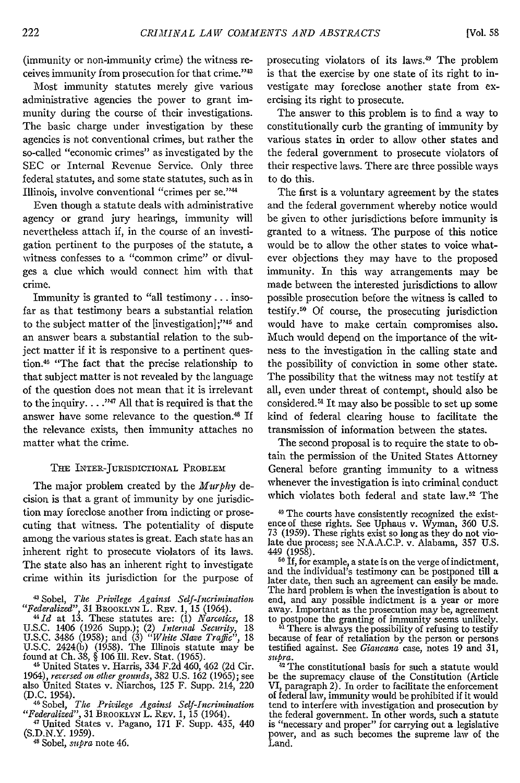(immunity or non-immunity crime) the witness receives immunity from prosecution for that crime."<sup>43</sup>

Most immunity statutes merely give various administrative agencies the power to grant immunity during the course of their investigations. The basic charge under investigation by these agencies is not conventional crimes, but rather the so-called "economic crimes" as investigated by the SEC or Internal Revenue Service. Only three federal statutes, and some state statutes, such as in Illinois, involve conventional "crimes per se."4

Even though a statute deals with administrative agency or grand jury hearings, immunity will nevertheless attach if, in the course of an investigation pertinent to the purposes of the statute, a witness confesses to a "common crime" or divulges a clue which would connect him with that crime.

Immunity is granted to "all testimony **...** insofar as that testimony bears a substantial relation to the subject matter of the [investigation];"<sup>45</sup> and an answer bears a substantial relation to the subject matter if it is responsive to a pertinent question.<sup>46</sup> "The fact that the precise relationship to that subject matter is not revealed by the language of the question does not mean that it is irrelevant to the inquiry.  $\dots$ <sup>147</sup> All that is required is that the answer have some relevance to the question.48 If the relevance exists, then immunity attaches no matter what the crime.

#### THE INTER-JURISDICTIONAL PROBLEM

The major problem created by the *Murphy* decision is that a grant of immunity by one jurisdiction may foreclose another from indicting or prosecuting that witness. The potentiality of dispute among the various states is great. Each state has an inherent right to prosecute violators of its laws. The state also has an inherent right to investigate crime within its jurisdiction for the purpose of

<sup>46</sup> United States v. Harris, 334 F.2d 460, 462 (2d Cir. 1964), *reversed on other grounds*, 382 U.S. 162 (1965); see also United States v. Niarchos, 125 F. Supp. 214, 220 (D.C. 1954). (D.C. 1954). 46Sobel, *The Privilege Against Self-Incrimination*

prosecuting violators of its laws.<sup>49</sup> The problem is that the exercise by one state of its right to investigate may foreclose another state from exercising its right to prosecute.

The answer to this problem is to find a way to constitutionally curb the granting of immunity by various states in order to allow other states and the federal government to prosecute violators of their respective laws. There are three possible ways to do this.

The first is a voluntary agreement by the states and the federal government whereby notice would be given to other jurisdictions before immunity is granted to a witness. The purpose of this notice would be to allow the other states to voice whatever objections they may have to the proposed immunity. In this way arrangements may be made between the interested jurisdictions to allow possible prosecution before the witness is called to testify.<sup>50</sup> Of course, the prosecuting jurisdiction would have to make certain compromises also. Much would depend on the importance of the witness to the investigation in the calling state and the possibility of conviction in some other state. The possibility that the witness may not testify at all, even under threat of contempt, should also be considered.<sup>51</sup> It may also be possible to set up some kind of federal clearing house to facilitate the transmission of information between the states.

The second proposal is to require the state to obtain the permission of the United States Attorney General before granting immunity to a witness whenever the investigation is into criminal conduct which violates both federal and state law.<sup>52</sup> The

**<sup>80</sup>**If, for example, a state is on the verge of indictment, and the individual's testimony can be postponed till a later date, then such an agreement can easily be made. The hard problem is when the investigation is about to end, and any possible indictment is a year or more away. Important as the prosecution may be, agreement

to postpone the granting of immunity seems unlikely. **ii** There is always the possibility of refusing to testify because of fear of retaliation by the person or persons testified against. See *Giancana* case, notes 19 and 31, *supra.*

**<sup>82</sup>**The constitutional basis for such a statute would be the supremacy clause of the Constitution (Article VI, paragraph 2). In order to facilitate the enforcement of federal law, immunity would be prohibited if it would tend to interfere with investigation and prosecution by the federal government. In other words, such a statute is "necessary and proper" for carrying out a legislative power, and as such becomes the supreme law of the Land.

<sup>4</sup> Sobel, *The Privilege Against Self-Incrimination "Federalized",* 31 BROOKLYN L. Rxv. 1, 15 (1964).

<sup>&</sup>lt;sup>44</sup> *Id* at 13. These statutes are: (1) *Narcolics*, 18<br>U.S.C. 1406 (1926 Supp.); (2) *Internal Security*, 18<br>U.S.C. 3486 (1958); and (3) *"White Slave Traffic"*, 18<br>U.S.C. 2424(b) (1958). The Illinois statute may be<br>fou

*<sup>&</sup>quot;Federalized",* 31 BROOKLYN L. REv. 1, 15 (1964).

**<sup>11</sup>** United States v. Pagano, 171 F. Supp. 435, 440 (S.D.N.Y. 1959). **<sup>41</sup>**Sobel, *supra* note 46.

**<sup>48</sup>** The courts have consistently recognized the existence of these rights. See Uphaus v. Wyman, 360 U.S. 73 (1959). These rights exist so long as they do not violate due process; see N.A.A.C.P. v. Alabama, 357 U.S. 449 (1958).